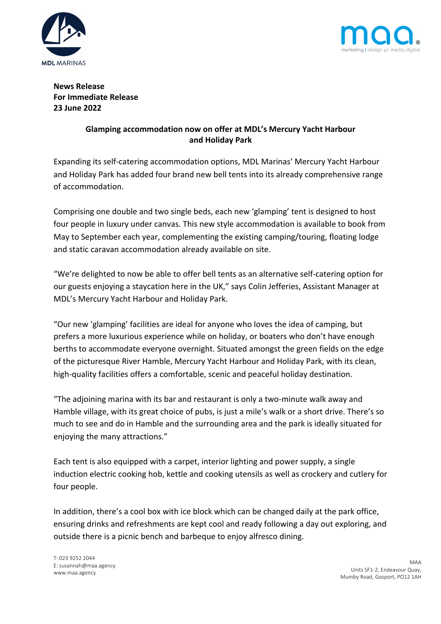



**News Release For Immediate Release 23 June 2022**

## **Glamping accommodation now on offer at MDL's Mercury Yacht Harbour and Holiday Park**

Expanding its self-catering accommodation options, MDL Marinas' Mercury Yacht Harbour and Holiday Park has added four brand new bell tents into its already comprehensive range of accommodation.

Comprising one double and two single beds, each new 'glamping' tent is designed to host four people in luxury under canvas. This new style accommodation is available to book from May to September each year, complementing the existing camping/touring, floating lodge and static caravan accommodation already available on site.

"We're delighted to now be able to offer bell tents as an alternative self-catering option for our guests enjoying a staycation here in the UK," says Colin Jefferies, Assistant Manager at MDL's Mercury Yacht Harbour and Holiday Park.

"Our new 'glamping' facilities are ideal for anyone who loves the idea of camping, but prefers a more luxurious experience while on holiday, or boaters who don't have enough berths to accommodate everyone overnight. Situated amongst the green fields on the edge of the picturesque River Hamble, Mercury Yacht Harbour and Holiday Park, with its clean, high-quality facilities offers a comfortable, scenic and peaceful holiday destination.

"The adjoining marina with its bar and restaurant is only a two-minute walk away and Hamble village, with its great choice of pubs, is just a mile's walk or a short drive. There's so much to see and do in Hamble and the surrounding area and the park is ideally situated for enjoying the many attractions."

Each tent is also equipped with a carpet, interior lighting and power supply, a single induction electric cooking hob, kettle and cooking utensils as well as crockery and cutlery for four people.

In addition, there's a cool box with ice block which can be changed daily at the park office, ensuring drinks and refreshments are kept cool and ready following a day out exploring, and outside there is a picnic bench and barbeque to enjoy alfresco dining.